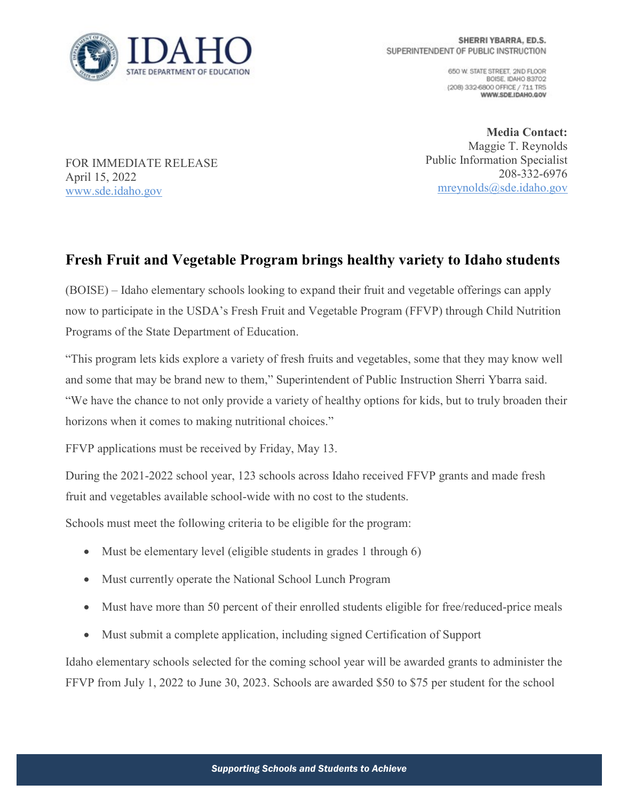

650 W. STATE STREET, 2ND FLOOR BOISE, IDAHO 83702 (208) 332-6800 OFFICE / 711 TRS WWW.SDE.IDAHO.GOV

FOR IMMEDIATE RELEASE April 15, 2022 [www.sde.idaho.gov](http://www.sde.idaho.gov/)

**Media Contact:** Maggie T. Reynolds Public Information Specialist 208-332-6976 [mreynolds@sde.idaho.gov](mailto:mreynolds@sde.idaho.gov)

## **Fresh Fruit and Vegetable Program brings healthy variety to Idaho students**

(BOISE) – Idaho elementary schools looking to expand their fruit and vegetable offerings can apply now to participate in the USDA's Fresh Fruit and Vegetable Program (FFVP) through Child Nutrition Programs of the State Department of Education.

"This program lets kids explore a variety of fresh fruits and vegetables, some that they may know well and some that may be brand new to them," Superintendent of Public Instruction Sherri Ybarra said. "We have the chance to not only provide a variety of healthy options for kids, but to truly broaden their horizons when it comes to making nutritional choices."

FFVP applications must be received by Friday, May 13.

During the 2021-2022 school year, 123 schools across Idaho received FFVP grants and made fresh fruit and vegetables available school-wide with no cost to the students.

Schools must meet the following criteria to be eligible for the program:

- Must be elementary level (eligible students in grades 1 through 6)
- Must currently operate the National School Lunch Program
- Must have more than 50 percent of their enrolled students eligible for free/reduced-price meals
- Must submit a complete application, including signed Certification of Support

Idaho elementary schools selected for the coming school year will be awarded grants to administer the FFVP from July 1, 2022 to June 30, 2023. Schools are awarded \$50 to \$75 per student for the school